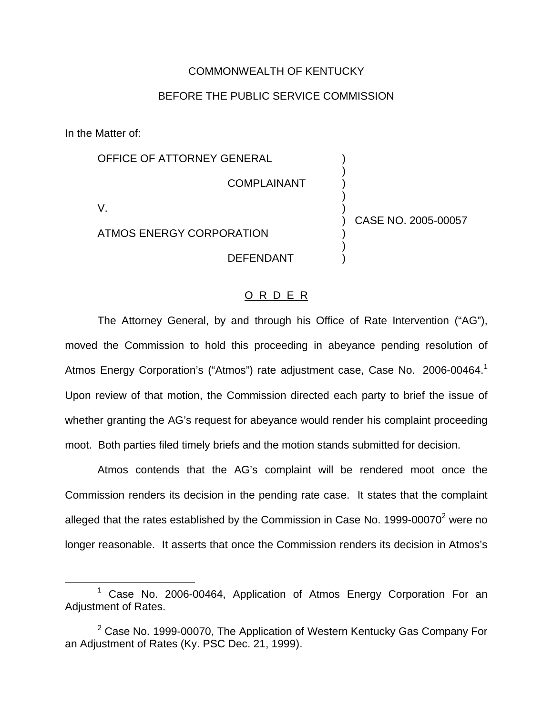#### COMMONWEALTH OF KENTUCKY

### BEFORE THE PUBLIC SERVICE COMMISSION

In the Matter of:

OFFICE OF ATTORNEY GENERAL COMPLAINANT

V.

ATMOS ENERGY CORPORATION

DEFENDANT

) CASE NO. 2005-00057

) ) ) ) )

) ) )

#### O R D E R

The Attorney General, by and through his Office of Rate Intervention ("AG"), moved the Commission to hold this proceeding in abeyance pending resolution of Atmos Energy Corporation's ("Atmos") rate adjustment case, Case No. 2006-00464.<sup>1</sup> Upon review of that motion, the Commission directed each party to brief the issue of whether granting the AG's request for abeyance would render his complaint proceeding moot. Both parties filed timely briefs and the motion stands submitted for decision.

Atmos contends that the AG's complaint will be rendered moot once the Commission renders its decision in the pending rate case. It states that the complaint alleged that the rates established by the Commission in Case No.  $1999-00070^2$  were no longer reasonable. It asserts that once the Commission renders its decision in Atmos's

<sup>1</sup> Case No. 2006-00464, Application of Atmos Energy Corporation For an Adjustment of Rates.

 $2$  Case No. 1999-00070, The Application of Western Kentucky Gas Company For an Adjustment of Rates (Ky. PSC Dec. 21, 1999).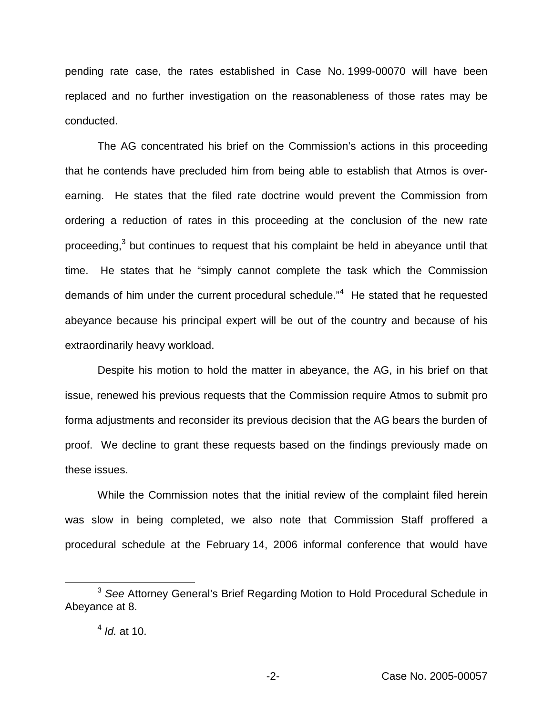pending rate case, the rates established in Case No. 1999-00070 will have been replaced and no further investigation on the reasonableness of those rates may be conducted.

The AG concentrated his brief on the Commission's actions in this proceeding that he contends have precluded him from being able to establish that Atmos is overearning. He states that the filed rate doctrine would prevent the Commission from ordering a reduction of rates in this proceeding at the conclusion of the new rate proceeding,<sup>3</sup> but continues to request that his complaint be held in abeyance until that time. He states that he "simply cannot complete the task which the Commission demands of him under the current procedural schedule."<sup>4</sup> He stated that he requested abeyance because his principal expert will be out of the country and because of his extraordinarily heavy workload.

Despite his motion to hold the matter in abeyance, the AG, in his brief on that issue, renewed his previous requests that the Commission require Atmos to submit pro forma adjustments and reconsider its previous decision that the AG bears the burden of proof. We decline to grant these requests based on the findings previously made on these issues.

While the Commission notes that the initial review of the complaint filed herein was slow in being completed, we also note that Commission Staff proffered a procedural schedule at the February 14, 2006 informal conference that would have

<sup>3</sup> *See* Attorney General's Brief Regarding Motion to Hold Procedural Schedule in Abeyance at 8.

<sup>4</sup> *Id.* at 10.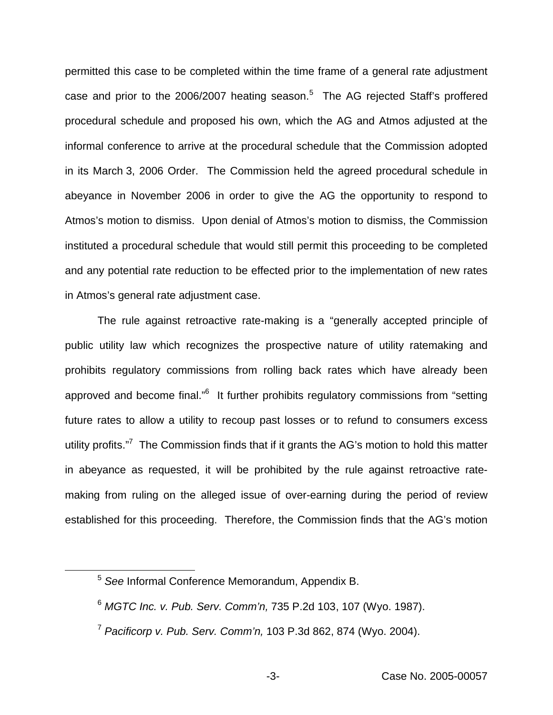permitted this case to be completed within the time frame of a general rate adjustment case and prior to the 2006/2007 heating season.<sup>5</sup> The AG rejected Staff's proffered procedural schedule and proposed his own, which the AG and Atmos adjusted at the informal conference to arrive at the procedural schedule that the Commission adopted in its March 3, 2006 Order. The Commission held the agreed procedural schedule in abeyance in November 2006 in order to give the AG the opportunity to respond to Atmos's motion to dismiss. Upon denial of Atmos's motion to dismiss, the Commission instituted a procedural schedule that would still permit this proceeding to be completed and any potential rate reduction to be effected prior to the implementation of new rates in Atmos's general rate adjustment case.

The rule against retroactive rate-making is a "generally accepted principle of public utility law which recognizes the prospective nature of utility ratemaking and prohibits regulatory commissions from rolling back rates which have already been approved and become final."<sup>6</sup> It further prohibits regulatory commissions from "setting future rates to allow a utility to recoup past losses or to refund to consumers excess utility profits."<sup>7</sup> The Commission finds that if it grants the AG's motion to hold this matter in abeyance as requested, it will be prohibited by the rule against retroactive ratemaking from ruling on the alleged issue of over-earning during the period of review established for this proceeding. Therefore, the Commission finds that the AG's motion

<sup>5</sup> *See* Informal Conference Memorandum, Appendix B.

<sup>6</sup> *MGTC Inc. v. Pub. Serv. Comm'n,* 735 P.2d 103, 107 (Wyo. 1987).

<sup>7</sup> *Pacificorp v. Pub. Serv. Comm'n,* 103 P.3d 862, 874 (Wyo. 2004).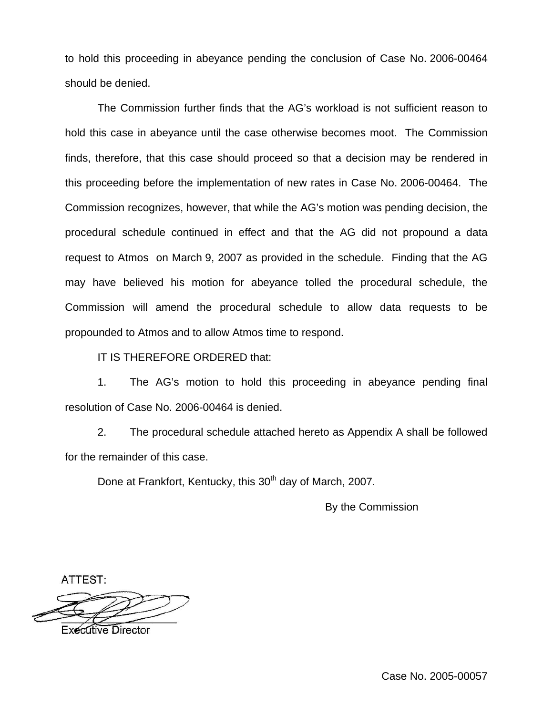to hold this proceeding in abeyance pending the conclusion of Case No. 2006-00464 should be denied.

The Commission further finds that the AG's workload is not sufficient reason to hold this case in abeyance until the case otherwise becomes moot. The Commission finds, therefore, that this case should proceed so that a decision may be rendered in this proceeding before the implementation of new rates in Case No. 2006-00464. The Commission recognizes, however, that while the AG's motion was pending decision, the procedural schedule continued in effect and that the AG did not propound a data request to Atmos on March 9, 2007 as provided in the schedule. Finding that the AG may have believed his motion for abeyance tolled the procedural schedule, the Commission will amend the procedural schedule to allow data requests to be propounded to Atmos and to allow Atmos time to respond.

IT IS THEREFORE ORDERED that:

1. The AG's motion to hold this proceeding in abeyance pending final resolution of Case No. 2006-00464 is denied.

2. The procedural schedule attached hereto as Appendix A shall be followed for the remainder of this case.

Done at Frankfort, Kentucky, this 30<sup>th</sup> day of March, 2007.

By the Commission

ATTEST:

**Executive Director**